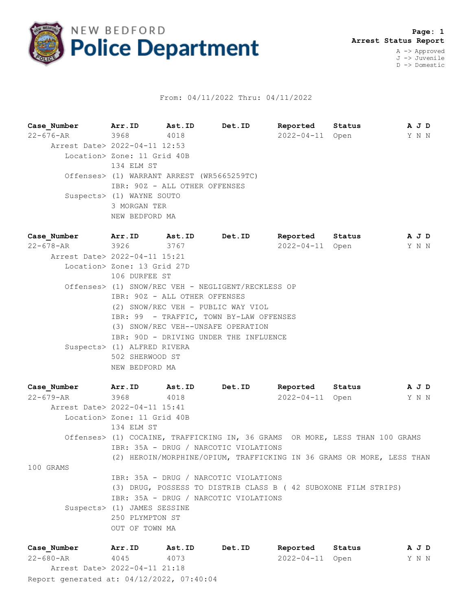

## From: 04/11/2022 Thru: 04/11/2022

**Case\_Number Arr.ID Ast.ID Det.ID Reported Status A J D** 22-676-AR 3968 4018 2022-04-11 Open Y N N Arrest Date> 2022-04-11 12:53 Location> Zone: 11 Grid 40B 134 ELM ST Offenses> (1) WARRANT ARREST (WR5665259TC) IBR: 90Z - ALL OTHER OFFENSES Suspects> (1) WAYNE SOUTO 3 MORGAN TER NEW BEDFORD MA

**Case\_Number Arr.ID Ast.ID Det.ID Reported Status A J D** 22-678-AR 3926 3767 2022-04-11 Open Y N N Arrest Date> 2022-04-11 15:21 Location> Zone: 13 Grid 27D 106 DURFEE ST Offenses> (1) SNOW/REC VEH - NEGLIGENT/RECKLESS OP IBR: 90Z - ALL OTHER OFFENSES (2) SNOW/REC VEH - PUBLIC WAY VIOL IBR: 99 - TRAFFIC, TOWN BY-LAW OFFENSES (3) SNOW/REC VEH--UNSAFE OPERATION IBR: 90D - DRIVING UNDER THE INFLUENCE Suspects> (1) ALFRED RIVERA 502 SHERWOOD ST NEW BEDFORD MA

**Case\_Number Arr.ID Ast.ID Det.ID Reported Status A J D** 22-679-AR 3968 4018 2022-04-11 Open Y N N Arrest Date> 2022-04-11 15:41 Location> Zone: 11 Grid 40B 134 ELM ST Offenses> (1) COCAINE, TRAFFICKING IN, 36 GRAMS OR MORE, LESS THAN 100 GRAMS IBR: 35A - DRUG / NARCOTIC VIOLATIONS (2) HEROIN/MORPHINE/OPIUM, TRAFFICKING IN 36 GRAMS OR MORE, LESS THAN 100 GRAMS IBR: 35A - DRUG / NARCOTIC VIOLATIONS (3) DRUG, POSSESS TO DISTRIB CLASS B ( 42 SUBOXONE FILM STRIPS) IBR: 35A - DRUG / NARCOTIC VIOLATIONS Suspects> (1) JAMES SESSINE 250 PLYMPTON ST OUT OF TOWN MA

Report generated at: 04/12/2022, 07:40:04 **Case\_Number Arr.ID Ast.ID Det.ID Reported Status A J D** 22-680-AR 4045 4073 2022-04-11 Open Y N N Arrest Date> 2022-04-11 21:18